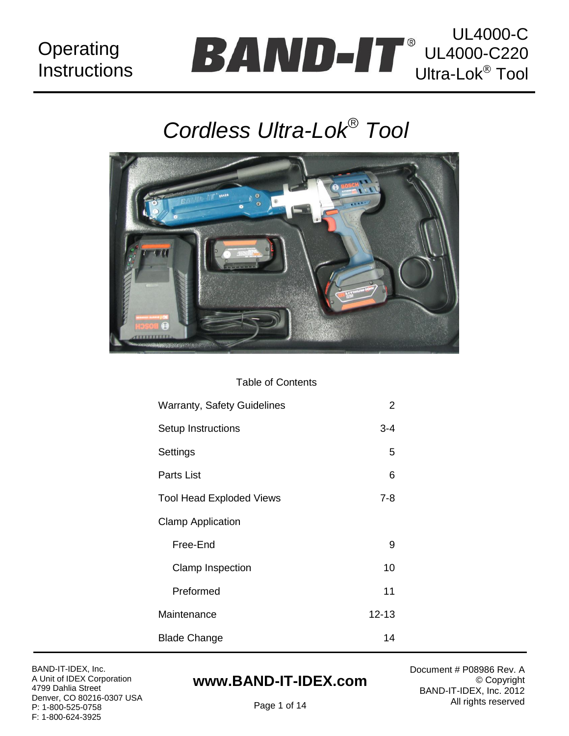## **Operating Instructions**

## UL4000-C UL4000-C220 Ultra-Lok<sup>®</sup> Tool

# *Cordless Ultra-Lok Tool*



#### Table of Contents

| <b>Warranty, Safety Guidelines</b> | 2         |  |  |  |
|------------------------------------|-----------|--|--|--|
| Setup Instructions                 | 3-4       |  |  |  |
| Settings                           | 5         |  |  |  |
| Parts List                         | 6         |  |  |  |
| <b>Tool Head Exploded Views</b>    | $7 - 8$   |  |  |  |
| <b>Clamp Application</b>           |           |  |  |  |
| Free-End                           | 9         |  |  |  |
| Clamp Inspection                   | 10        |  |  |  |
| Preformed                          | 11        |  |  |  |
| Maintenance                        | $12 - 13$ |  |  |  |
| <b>Blade Change</b>                |           |  |  |  |

BAND-IT-IDEX, Inc. A Unit of IDEX Corporation 4799 Dahlia Street Denver, CO 80216-0307 USA P: 1-800-525-0758 F: 1-800-624-3925

## **www.BAND-IT-IDEX.com**

Document # P08986 Rev. A © Copyright BAND-IT-IDEX, Inc. 2012 All rights reserved

Page 1 of 14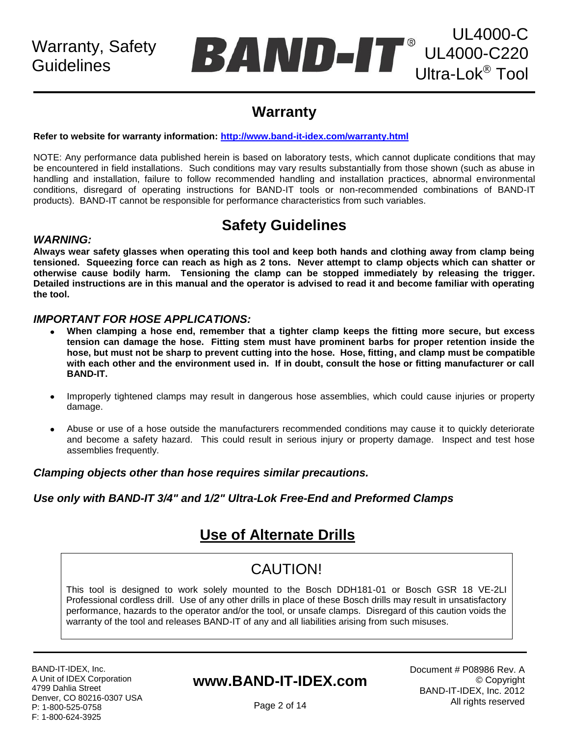## UL4000-C UL4000-C220 Ultra-Lok<sup>®</sup> Tool

## **Warranty**

#### **Refer to website for warranty information:<http://www.band-it-idex.com/warranty.html>**

NOTE: Any performance data published herein is based on laboratory tests, which cannot duplicate conditions that may be encountered in field installations. Such conditions may vary results substantially from those shown (such as abuse in handling and installation, failure to follow recommended handling and installation practices, abnormal environmental conditions, disregard of operating instructions for BAND-IT tools or non-recommended combinations of BAND-IT products). BAND-IT cannot be responsible for performance characteristics from such variables.

## **Safety Guidelines**

#### *WARNING:*

**Always wear safety glasses when operating this tool and keep both hands and clothing away from clamp being tensioned. Squeezing force can reach as high as 2 tons. Never attempt to clamp objects which can shatter or otherwise cause bodily harm. Tensioning the clamp can be stopped immediately by releasing the trigger. Detailed instructions are in this manual and the operator is advised to read it and become familiar with operating the tool.**

#### *IMPORTANT FOR HOSE APPLICATIONS:*

- **When clamping a hose end, remember that a tighter clamp keeps the fitting more secure, but excess tension can damage the hose. Fitting stem must have prominent barbs for proper retention inside the hose, but must not be sharp to prevent cutting into the hose. Hose, fitting, and clamp must be compatible with each other and the environment used in. If in doubt, consult the hose or fitting manufacturer or call BAND-IT.**
- Improperly tightened clamps may result in dangerous hose assemblies, which could cause injuries or property  $\bullet$ damage.
- Abuse or use of a hose outside the manufacturers recommended conditions may cause it to quickly deteriorate and become a safety hazard. This could result in serious injury or property damage. Inspect and test hose assemblies frequently.

#### *Clamping objects other than hose requires similar precautions.*

#### *Use only with BAND-IT 3/4" and 1/2" Ultra-Lok Free-End and Preformed Clamps*

## **Use of Alternate Drills**

## CAUTION!

This tool is designed to work solely mounted to the Bosch DDH181-01 or Bosch GSR 18 VE-2LI Professional cordless drill. Use of any other drills in place of these Bosch drills may result in unsatisfactory performance, hazards to the operator and/or the tool, or unsafe clamps. Disregard of this caution voids the warranty of the tool and releases BAND-IT of any and all liabilities arising from such misuses.

BAND-IT-IDEX, Inc. A Unit of IDEX Corporation 4799 Dahlia Street Denver, CO 80216-0307 USA P: 1-800-525-0758 F: 1-800-624-3925

### **www.BAND-IT-IDEX.com**

Document # P08986 Rev. A © Copyright BAND-IT-IDEX, Inc. 2012 All rights reserved

Page 2 of 14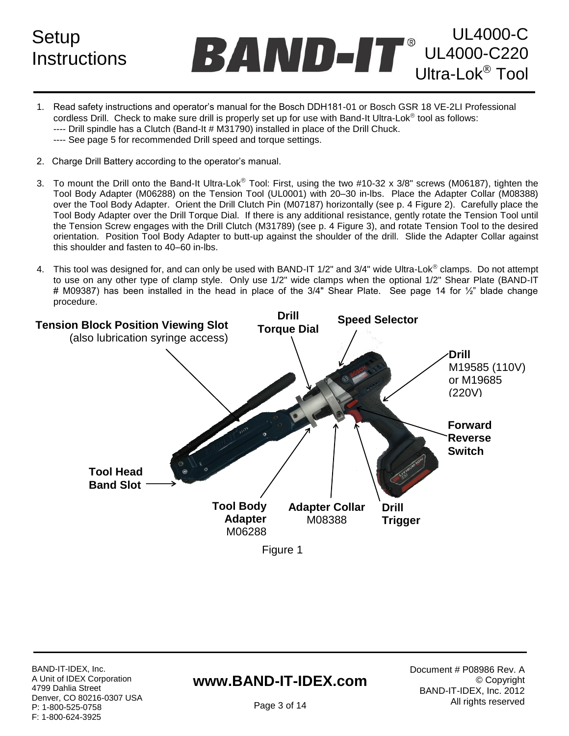**Setup Instructions** 

UL4000-C UL4000-C220 Ultra-Lok<sup>®</sup> Tool

- 1. Read safety instructions and operator"s manual for the Bosch DDH181-01 or Bosch GSR 18 VE-2LI Professional cordless Drill. Check to make sure drill is properly set up for use with Band-It Ultra-Lok<sup>®</sup> tool as follows: ---- Drill spindle has a Clutch (Band-It # M31790) installed in place of the Drill Chuck. ---- See page 5 for recommended Drill speed and torque settings.
- 2. Charge Drill Battery according to the operator"s manual.
- 3. To mount the Drill onto the Band-It Ultra-Lok® Tool: First, using the two #10-32 x 3/8" screws (M06187), tighten the Tool Body Adapter (M06288) on the Tension Tool (UL0001) with 20–30 in-lbs. Place the Adapter Collar (M08388) over the Tool Body Adapter. Orient the Drill Clutch Pin (M07187) horizontally (see p. 4 Figure 2). Carefully place the Tool Body Adapter over the Drill Torque Dial. If there is any additional resistance, gently rotate the Tension Tool until the Tension Screw engages with the Drill Clutch (M31789) (see p. 4 Figure 3), and rotate Tension Tool to the desired orientation. Position Tool Body Adapter to butt-up against the shoulder of the drill. Slide the Adapter Collar against this shoulder and fasten to 40–60 in-lbs.
- 4. This tool was designed for, and can only be used with BAND-IT  $1/2$ " and  $3/4$ " wide Ultra-Lok $^{\circ}$  clamps. Do not attempt to use on any other type of clamp style. Only use 1/2" wide clamps when the optional 1/2" Shear Plate (BAND-IT # M09387) has been installed in the head in place of the 3/4" Shear Plate. See page 14 for 1/2" blade change procedure.



### **www.BAND-IT-IDEX.com**

Document # P08986 Rev. A © Copyright BAND-IT-IDEX, Inc. 2012 All rights reserved

Page 3 of 14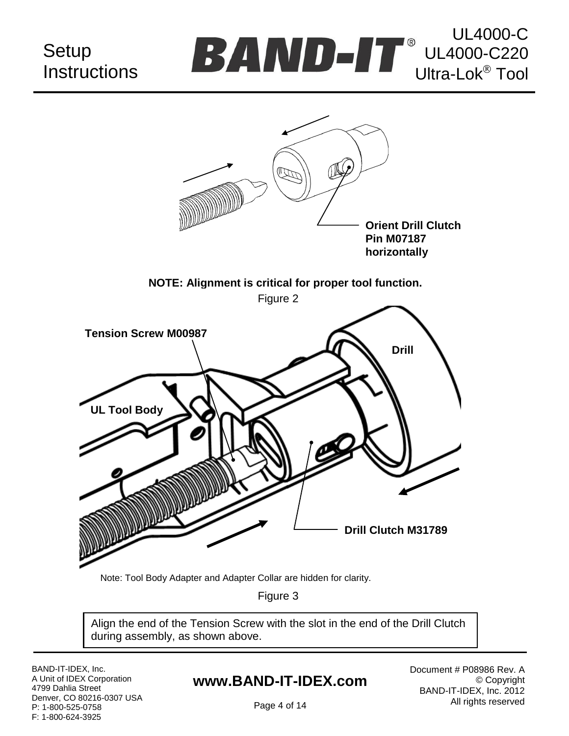## **Setup Instructions**





Note: Tool Body Adapter and Adapter Collar are hidden for clarity.

Figure 3

Align the end of the Tension Screw with the slot in the end of the Drill Clutch during assembly, as shown above.

BAND-IT-IDEX, Inc. A Unit of IDEX Corporation 4799 Dahlia Street Denver, CO 80216-0307 USA P: 1-800-525-0758 F: 1-800-624-3925

## **www.BAND-IT-IDEX.com**

Document # P08986 Rev. A © Copyright BAND-IT-IDEX, Inc. 2012 All rights reserved

Page 4 of 14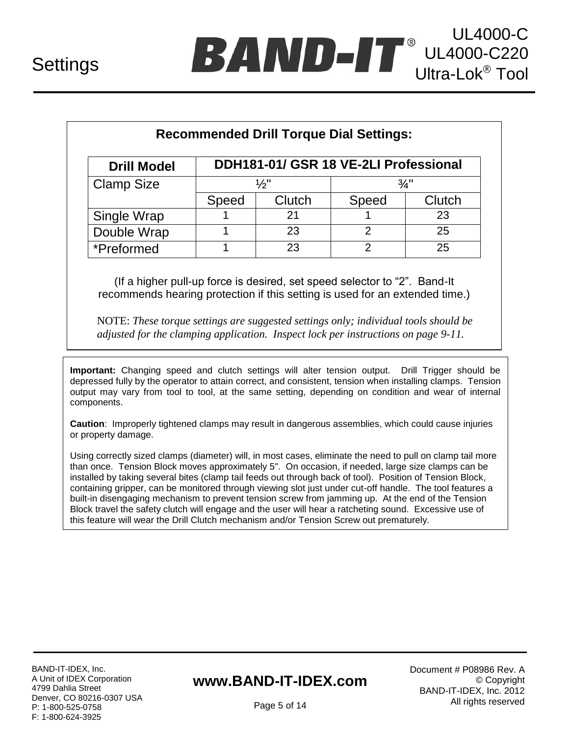| <b>Recommended Drill Torque Dial Settings:</b> |                                       |        |                 |        |  |
|------------------------------------------------|---------------------------------------|--------|-----------------|--------|--|
| <b>Drill Model</b>                             | DDH181-01/ GSR 18 VE-2LI Professional |        |                 |        |  |
| <b>Clamp Size</b>                              | 1∕2"                                  |        | $\frac{3}{4}$ " |        |  |
|                                                | Speed                                 | Clutch | Speed           | Clutch |  |
| Single Wrap                                    |                                       | 21     |                 | 23     |  |
| Double Wrap                                    |                                       | 23     | 2               | 25     |  |
| *Preformed                                     |                                       | 23     | 2               | 25     |  |

(If a higher pull-up force is desired, set speed selector to "2". Band-It recommends hearing protection if this setting is used for an extended time.)

NOTE: *These torque settings are suggested settings only; individual tools should be adjusted for the clamping application. Inspect lock per instructions on page 9-11.*

**Important:** Changing speed and clutch settings will alter tension output. Drill Trigger should be depressed fully by the operator to attain correct, and consistent, tension when installing clamps. Tension output may vary from tool to tool, at the same setting, depending on condition and wear of internal components.

**Caution**: Improperly tightened clamps may result in dangerous assemblies, which could cause injuries or property damage.

Using correctly sized clamps (diameter) will, in most cases, eliminate the need to pull on clamp tail more than once. Tension Block moves approximately 5". On occasion, if needed, large size clamps can be installed by taking several bites (clamp tail feeds out through back of tool). Position of Tension Block, containing gripper, can be monitored through viewing slot just under cut-off handle. The tool features a built-in disengaging mechanism to prevent tension screw from jamming up. At the end of the Tension Block travel the safety clutch will engage and the user will hear a ratcheting sound. Excessive use of this feature will wear the Drill Clutch mechanism and/or Tension Screw out prematurely.

BAND-IT-IDEX, Inc. A Unit of IDEX Corporation 4799 Dahlia Street Denver, CO 80216-0307 USA P: 1-800-525-0758 F: 1-800-624-3925

## **www.BAND-IT-IDEX.com**

Document # P08986 Rev. A © Copyright BAND-IT-IDEX, Inc. 2012 All rights reserved

Page 5 of 14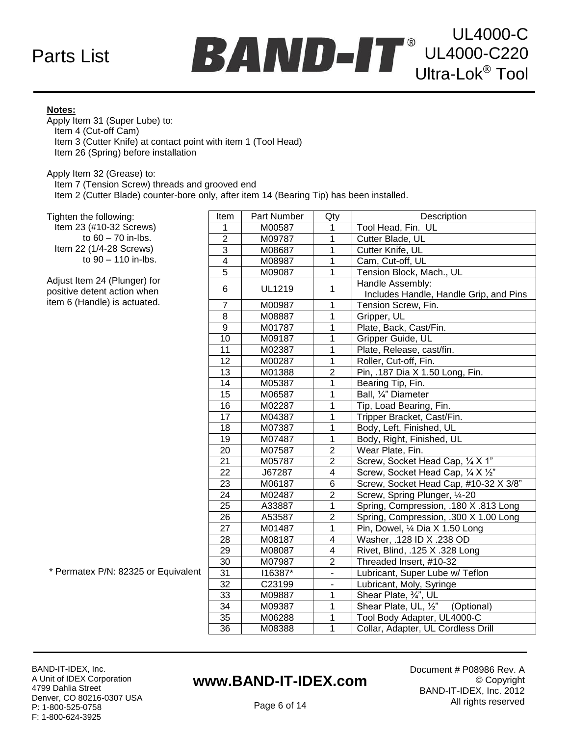## Parts List



#### **Notes:**

Apply Item 31 (Super Lube) to: Item 4 (Cut-off Cam) Item 3 (Cutter Knife) at contact point with item 1 (Tool Head) Item 26 (Spring) before installation

Apply Item 32 (Grease) to:

Item 7 (Tension Screw) threads and grooved end

Item 2 (Cutter Blade) counter-bore only, after item 14 (Bearing Tip) has been installed.

Tighten the following:

 Item 23 (#10-32 Screws) to 60 – 70 in-lbs. Item 22 (1/4-28 Screws) to 90 – 110 in-lbs.

Adjust Item 24 (Plunger) for positive detent action when item 6 (Handle) is actuated.

| Item            | Part Number        | Qty                      | Description                            |  |
|-----------------|--------------------|--------------------------|----------------------------------------|--|
| 1               | M00587             | 1                        | Tool Head, Fin. UL                     |  |
| $\overline{c}$  | M09787             | $\mathbf{1}$             | Cutter Blade, UL                       |  |
| $\overline{3}$  | M08687             | $\overline{1}$           | Cutter Knife, UL                       |  |
| $\overline{4}$  | M08987             | $\overline{1}$           | Cam, Cut-off, UL                       |  |
| $\overline{5}$  | M09087             | $\mathbf 1$              | Tension Block, Mach., UL               |  |
|                 |                    | 1                        | Handle Assembly:                       |  |
|                 | <b>UL1219</b><br>6 |                          | Includes Handle, Handle Grip, and Pins |  |
| $\overline{7}$  | M00987             | $\overline{1}$           | Tension Screw, Fin.                    |  |
| 8               | M08887             | 1                        | Gripper, UL                            |  |
| 9               | M01787             | 1                        | Plate, Back, Cast/Fin.                 |  |
| 10              | M09187             | $\overline{1}$           | Gripper Guide, UL                      |  |
| 11              | M02387             | $\mathbf{1}$             | Plate, Release, cast/fin.              |  |
| $\overline{12}$ | M00287             | $\overline{1}$           | Roller, Cut-off, Fin.                  |  |
| $\overline{13}$ | M01388             | $\overline{2}$           | Pin, .187 Dia X 1.50 Long, Fin.        |  |
| 14              | M05387             | $\overline{1}$           | Bearing Tip, Fin.                      |  |
| $\overline{15}$ | M06587             | $\overline{1}$           | Ball, 1/4" Diameter                    |  |
| 16              | M02287             | $\overline{1}$           | Tip, Load Bearing, Fin.                |  |
| 17              | M04387             | $\overline{1}$           | Tripper Bracket, Cast/Fin.             |  |
| 18              | M07387             | $\overline{1}$           | Body, Left, Finished, UL               |  |
| 19              | M07487             | $\mathbf 1$              | Body, Right, Finished, UL              |  |
| 20              | M07587             | $\overline{2}$           | Wear Plate, Fin.                       |  |
| 21              | M05787             | $\overline{2}$           | Screw, Socket Head Cap, 1/4 X 1"       |  |
| 22              | J67287             | 4                        | Screw, Socket Head Cap, 1/4 X 1/2"     |  |
| $\overline{23}$ | M06187             | 6                        | Screw, Socket Head Cap, #10-32 X 3/8"  |  |
| 24              | M02487             | $\overline{2}$           | Screw, Spring Plunger, 1/4-20          |  |
| 25              | A33887             | $\overline{1}$           | Spring, Compression, .180 X .813 Long  |  |
| $\overline{26}$ | A53587             | $\overline{2}$           | Spring, Compression, .300 X 1.00 Long  |  |
| $\overline{27}$ | M01487             | $\overline{1}$           | Pin, Dowel, 1/4 Dia X 1.50 Long        |  |
| 28              | M08187             | 4                        | Washer, .128 ID X .238 OD              |  |
| 29              | M08087             | 4                        | Rivet, Blind, .125 X .328 Long         |  |
| $\overline{30}$ | M07987             | $\overline{c}$           | Threaded Insert, #10-32                |  |
| 31              | I16387*            | $\overline{\phantom{0}}$ | Lubricant, Super Lube w/ Teflon        |  |
| $\overline{32}$ | C23199             | $\blacksquare$           | Lubricant, Moly, Syringe               |  |
| 33              | M09887             | 1                        | Shear Plate, 3/4", UL                  |  |
| 34              | M09387             | 1                        | Shear Plate, UL, 1/2"<br>(Optional)    |  |
| 35              | M06288             | $\overline{1}$           | Tool Body Adapter, UL4000-C            |  |
| 36              | M08388             | $\overline{1}$           | Collar, Adapter, UL Cordless Drill     |  |

\* Permatex P/N: 82325 or Equivalent

BAND-IT-IDEX, Inc. A Unit of IDEX Corporation 4799 Dahlia Street Denver, CO 80216-0307 USA P: 1-800-525-0758 F: 1-800-624-3925

## **www.BAND-IT-IDEX.com**

Document # P08986 Rev. A © Copyright BAND-IT-IDEX, Inc. 2012 All rights reserved

Page 6 of 14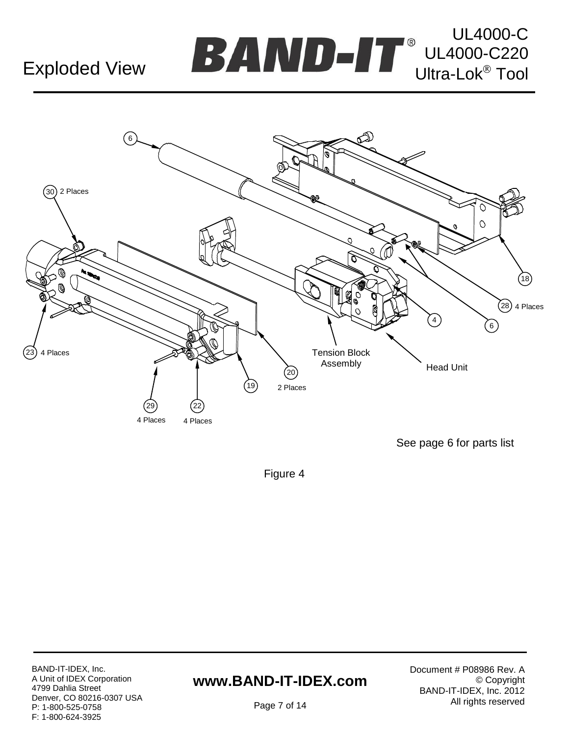## **Exploded View**





Figure 4

BAND-IT-IDEX, Inc. A Unit of IDEX Corporation 4799 Dahlia Street Denver, CO 80216-0307 USA P: 1-800-525-0758 F: 1-800-624-3925

## **www.BAND-IT-IDEX.com**

Document # P08986 Rev. A © Copyright BAND-IT-IDEX, Inc. 2012 All rights reserved

Page 7 of 14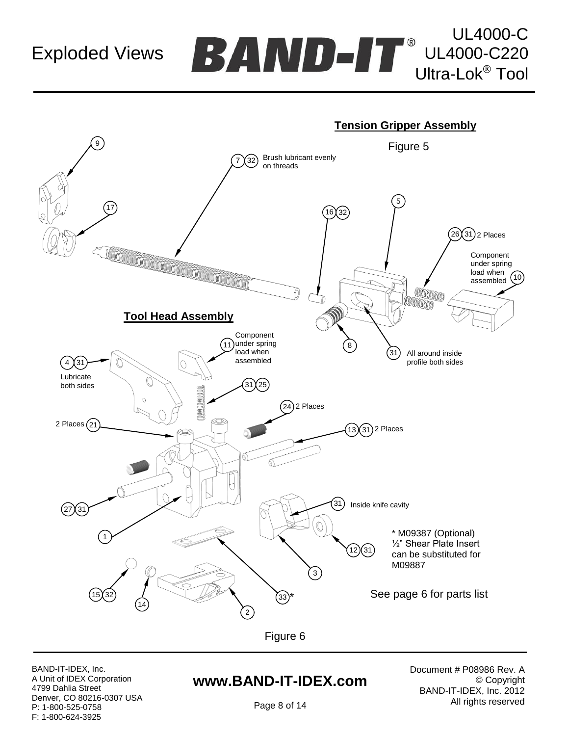Exploded Views

UL4000-C UL4000-C220  $\bf BAND$  -T UL4000-C220



BAND-IT-IDEX, Inc. A Unit of IDEX Corporation 4799 Dahlia Street Denver, CO 80216-0307 USA P: 1-800-525-0758 F: 1-800-624-3925

### **www.BAND-IT-IDEX.com**

Document # P08986 Rev. A © Copyright BAND-IT-IDEX, Inc. 2012 All rights reserved

Page 8 of 14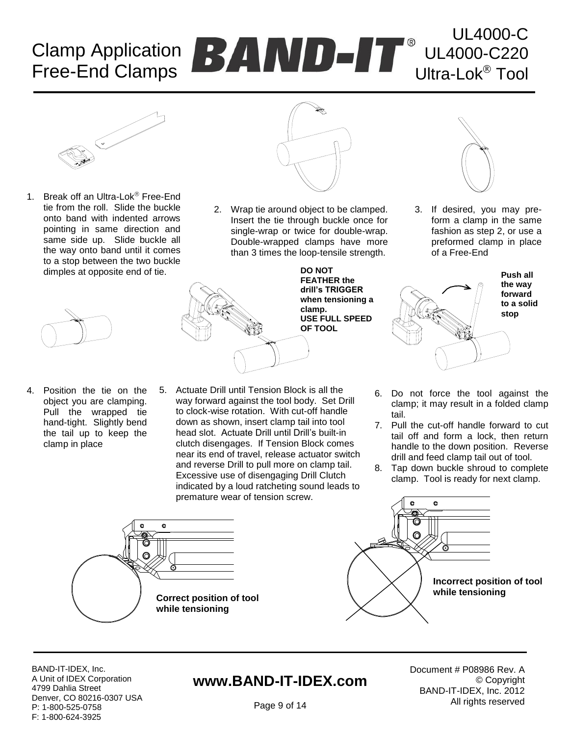## Free-End Clamps Clamp Application



1. Break off an Ultra-Lok<sup>®</sup> Free-End tie from the roll. Slide the buckle onto band with indented arrows pointing in same direction and same side up. Slide buckle all the way onto band until it comes to a stop between the two buckle dimples at opposite end of tie.



4. Position the tie on the object you are clamping. Pull the wrapped tie hand-tight. Slightly bend the tail up to keep the clamp in place



2. Wrap tie around object to be clamped. Insert the tie through buckle once for single-wrap or twice for double-wrap. Double-wrapped clamps have more than 3 times the loop-tensile strength.



5. Actuate Drill until Tension Block is all the way forward against the tool body. Set Drill to clock-wise rotation. With cut-off handle down as shown, insert clamp tail into tool head slot. Actuate Drill until Drill"s built-in clutch disengages. If Tension Block comes near its end of travel, release actuator switch and reverse Drill to pull more on clamp tail. Excessive use of disengaging Drill Clutch indicated by a loud ratcheting sound leads to premature wear of tension screw.

**Correct position of tool** 

**while tensioning**

o



UL4000-C

UL4000-C220

Ultra-Lok<sup>®</sup> Tool

3. If desired, you may preform a clamp in the same fashion as step 2, or use a preformed clamp in place of a Free-End



- 6. Do not force the tool against the clamp; it may result in a folded clamp tail.
- 7. Pull the cut-off handle forward to cut tail off and form a lock, then return handle to the down position. Reverse drill and feed clamp tail out of tool.
- 8. Tap down buckle shroud to complete clamp. Tool is ready for next clamp.



BAND-IT-IDEX, Inc. A Unit of IDEX Corporation 4799 Dahlia Street Denver, CO 80216-0307 USA P: 1-800-525-0758 F: 1-800-624-3925

## **www.BAND-IT-IDEX.com**

Document # P08986 Rev. A © Copyright BAND-IT-IDEX, Inc. 2012 All rights reserved

Page 9 of 14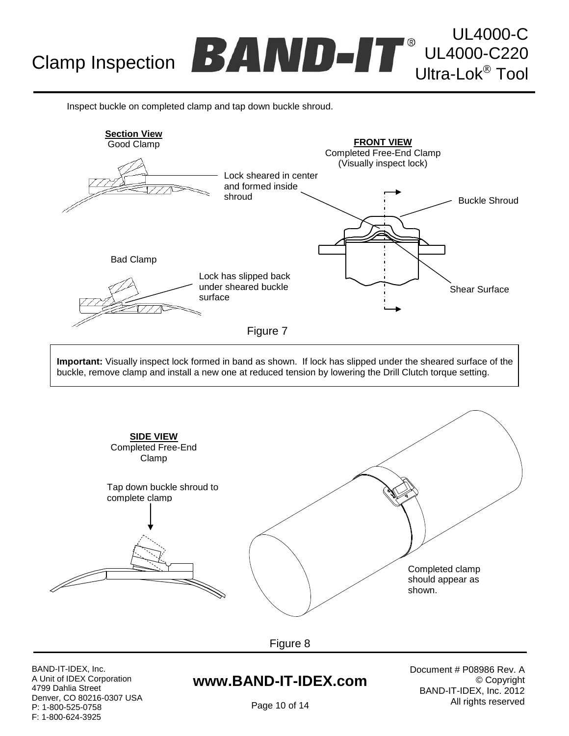# Clamp Inspection **DDAMINIAL CLAND-CALL CLAND-CALL**

Inspect buckle on completed clamp and tap down buckle shroud.



**Important:** Visually inspect lock formed in band as shown. If lock has slipped under the sheared surface of the buckle, remove clamp and install a new one at reduced tension by lowering the Drill Clutch torque setting.



Figure 8

BAND-IT-IDEX, Inc. A Unit of IDEX Corporation 4799 Dahlia Street Denver, CO 80216-0307 USA P: 1-800-525-0758 F: 1-800-624-3925

### **www.BAND-IT-IDEX.com**

Document # P08986 Rev. A © Copyright BAND-IT-IDEX, Inc. 2012 All rights reserved

UL4000-C

UL4000-C220<br>Ultra-Lok<sup>®</sup> Tool

Page 10 of 14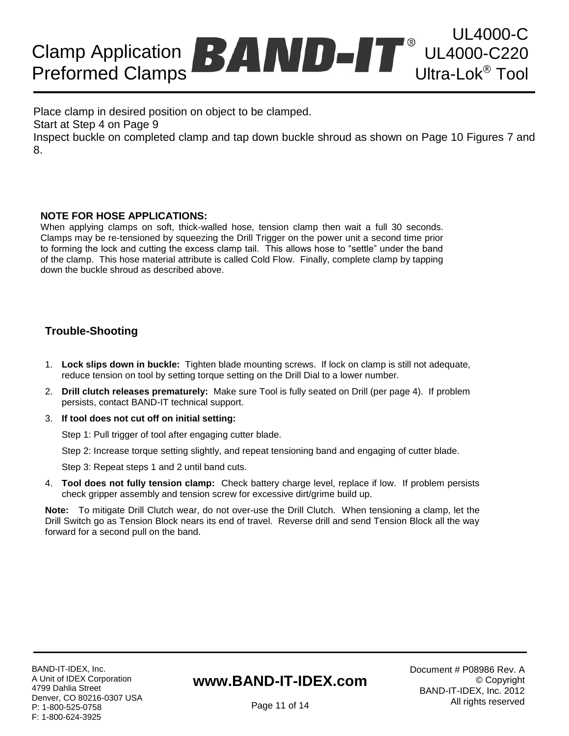### Preformed Clamps UL4000-C Clamp Application **EXAMPLICITY** UL4000-C220 Ultra-Lok<sup>®</sup> Tool

Place clamp in desired position on object to be clamped.

Start at Step 4 on Page 9

Inspect buckle on completed clamp and tap down buckle shroud as shown on Page 10 Figures 7 and 8.

#### **NOTE FOR HOSE APPLICATIONS:**

When applying clamps on soft, thick-walled hose, tension clamp then wait a full 30 seconds. Clamps may be re-tensioned by squeezing the Drill Trigger on the power unit a second time prior to forming the lock and cutting the excess clamp tail. This allows hose to "settle" under the band of the clamp. This hose material attribute is called Cold Flow. Finally, complete clamp by tapping down the buckle shroud as described above.

#### **Trouble-Shooting**

- 1. **Lock slips down in buckle:** Tighten blade mounting screws. If lock on clamp is still not adequate, reduce tension on tool by setting torque setting on the Drill Dial to a lower number.
- 2. **Drill clutch releases prematurely:** Make sure Tool is fully seated on Drill (per page 4). If problem persists, contact BAND-IT technical support.
- 3. **If tool does not cut off on initial setting:**

Step 1: Pull trigger of tool after engaging cutter blade.

Step 2: Increase torque setting slightly, and repeat tensioning band and engaging of cutter blade.

Step 3: Repeat steps 1 and 2 until band cuts.

4. **Tool does not fully tension clamp:** Check battery charge level, replace if low. If problem persists check gripper assembly and tension screw for excessive dirt/grime build up.

**Note:** To mitigate Drill Clutch wear, do not over-use the Drill Clutch. When tensioning a clamp, let the Drill Switch go as Tension Block nears its end of travel. Reverse drill and send Tension Block all the way forward for a second pull on the band.

## **www.BAND-IT-IDEX.com**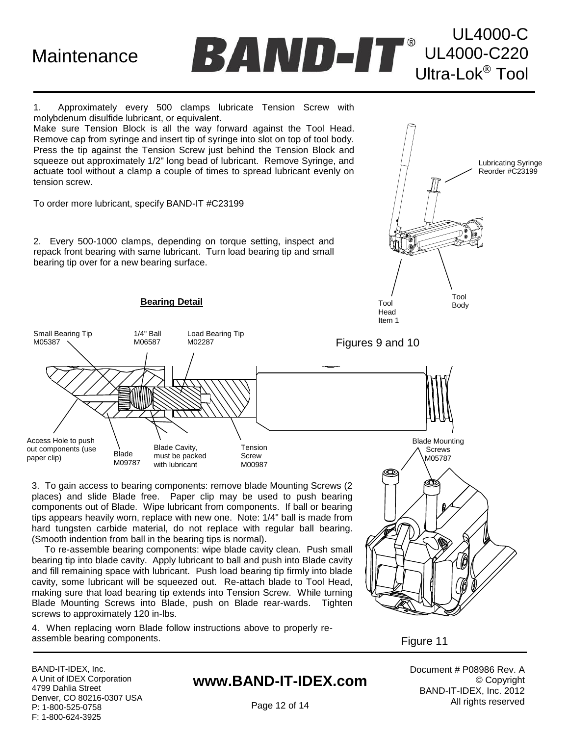**Maintenance** 



1. Approximately every 500 clamps lubricate Tension Screw with molybdenum disulfide lubricant, or equivalent.

Make sure Tension Block is all the way forward against the Tool Head. Remove cap from syringe and insert tip of syringe into slot on top of tool body. Press the tip against the Tension Screw just behind the Tension Block and squeeze out approximately 1/2" long bead of lubricant. Remove Syringe, and actuate tool without a clamp a couple of times to spread lubricant evenly on tension screw.

To order more lubricant, specify BAND-IT #C23199

2. Every 500-1000 clamps, depending on torque setting, inspect and repack front bearing with same lubricant. Turn load bearing tip and small bearing tip over for a new bearing surface.



3. To gain access to bearing components: remove blade Mounting Screws (2 places) and slide Blade free. Paper clip may be used to push bearing components out of Blade. Wipe lubricant from components. If ball or bearing tips appears heavily worn, replace with new one. Note: 1/4" ball is made from hard tungsten carbide material, do not replace with regular ball bearing. (Smooth indention from ball in the bearing tips is normal).

 To re-assemble bearing components: wipe blade cavity clean. Push small bearing tip into blade cavity. Apply lubricant to ball and push into Blade cavity and fill remaining space with lubricant. Push load bearing tip firmly into blade cavity, some lubricant will be squeezed out. Re-attach blade to Tool Head, making sure that load bearing tip extends into Tension Screw. While turning Blade Mounting Screws into Blade, push on Blade rear-wards. Tighten screws to approximately 120 in-lbs.

4. When replacing worn Blade follow instructions above to properly reassemble bearing components.



Lubricating Syringe Reorder #C23199

Figure 11

BAND-IT-IDEX, Inc. A Unit of IDEX Corporation 4799 Dahlia Street Denver, CO 80216-0307 USA P: 1-800-525-0758 F: 1-800-624-3925

### **www.BAND-IT-IDEX.com**

Document # P08986 Rev. A © Copyright BAND-IT-IDEX, Inc. 2012 All rights reserved

Page 12 of 14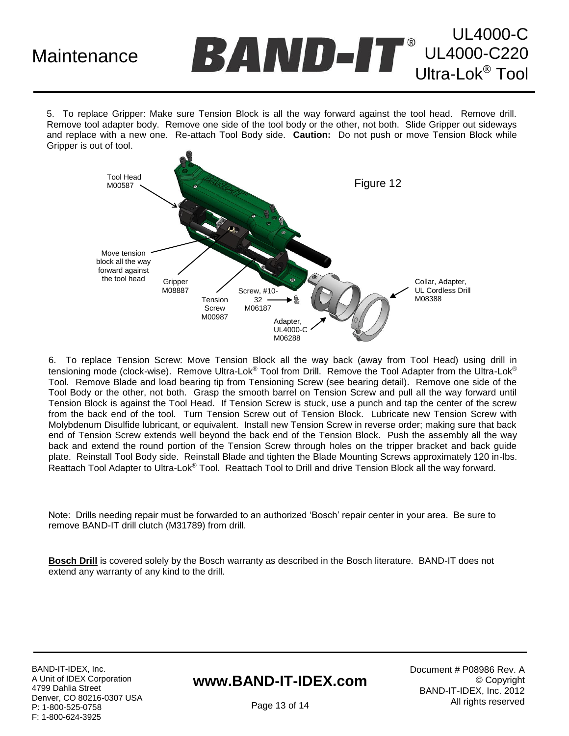## **Maintenance**

UL4000-C UL4000-C220 Ultra-Lok<sup>®</sup> Tool

5. To replace Gripper: Make sure Tension Block is all the way forward against the tool head. Remove drill. Remove tool adapter body. Remove one side of the tool body or the other, not both. Slide Gripper out sideways and replace with a new one. Re-attach Tool Body side. **Caution:** Do not push or move Tension Block while Gripper is out of tool.



6. To replace Tension Screw: Move Tension Block all the way back (away from Tool Head) using drill in tensioning mode (clock-wise). Remove Ultra-Lok® Tool from Drill. Remove the Tool Adapter from the Ultra-Lok® Tool. Remove Blade and load bearing tip from Tensioning Screw (see bearing detail). Remove one side of the Tool Body or the other, not both. Grasp the smooth barrel on Tension Screw and pull all the way forward until Tension Block is against the Tool Head. If Tension Screw is stuck, use a punch and tap the center of the screw from the back end of the tool. Turn Tension Screw out of Tension Block. Lubricate new Tension Screw with Molybdenum Disulfide lubricant, or equivalent. Install new Tension Screw in reverse order; making sure that back end of Tension Screw extends well beyond the back end of the Tension Block. Push the assembly all the way back and extend the round portion of the Tension Screw through holes on the tripper bracket and back guide plate. Reinstall Tool Body side. Reinstall Blade and tighten the Blade Mounting Screws approximately 120 in-lbs. Reattach Tool Adapter to Ultra-Lok<sup>®</sup> Tool. Reattach Tool to Drill and drive Tension Block all the way forward.

Note: Drills needing repair must be forwarded to an authorized "Bosch" repair center in your area. Be sure to remove BAND-IT drill clutch (M31789) from drill.

**Bosch Drill** is covered solely by the Bosch warranty as described in the Bosch literature. BAND-IT does not extend any warranty of any kind to the drill.

BAND-IT-IDEX, Inc. A Unit of IDEX Corporation 4799 Dahlia Street Denver, CO 80216-0307 USA P: 1-800-525-0758 F: 1-800-624-3925

## **www.BAND-IT-IDEX.com**

Document # P08986 Rev. A © Copyright BAND-IT-IDEX, Inc. 2012 All rights reserved

Page 13 of 14